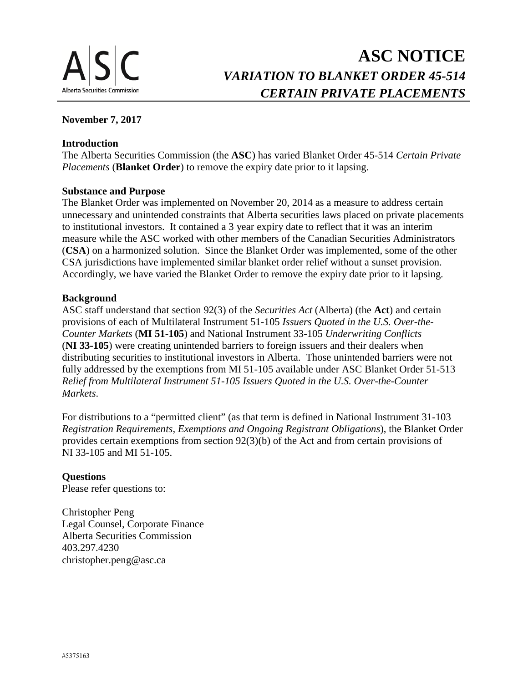# **ASC NOTICE** *VARIATION TO BLANKET ORDER 45-514 CERTAIN PRIVATE PLACEMENTS*

# **November 7, 2017**

# **Introduction**

The Alberta Securities Commission (the **ASC**) has varied Blanket Order 45-514 *Certain Private Placements* (**Blanket Order**) to remove the expiry date prior to it lapsing.

# **Substance and Purpose**

The Blanket Order was implemented on November 20, 2014 as a measure to address certain unnecessary and unintended constraints that Alberta securities laws placed on private placements to institutional investors. It contained a 3 year expiry date to reflect that it was an interim measure while the ASC worked with other members of the Canadian Securities Administrators (**CSA**) on a harmonized solution. Since the Blanket Order was implemented, some of the other CSA jurisdictions have implemented similar blanket order relief without a sunset provision. Accordingly, we have varied the Blanket Order to remove the expiry date prior to it lapsing.

# **Background**

ASC staff understand that section 92(3) of the *Securities Act* (Alberta) (the **Act**) and certain provisions of each of Multilateral Instrument 51-105 *Issuers Quoted in the U.S. Over-the-Counter Markets* (**MI 51-105**) and National Instrument 33-105 *Underwriting Conflicts* (**NI 33-105**) were creating unintended barriers to foreign issuers and their dealers when distributing securities to institutional investors in Alberta. Those unintended barriers were not fully addressed by the exemptions from MI 51-105 available under ASC Blanket Order 51-513 *Relief from Multilateral Instrument 51-105 Issuers Quoted in the U.S. Over-the-Counter Markets*.

For distributions to a "permitted client" (as that term is defined in National Instrument 31-103 *Registration Requirements, Exemptions and Ongoing Registrant Obligations*), the Blanket Order provides certain exemptions from section 92(3)(b) of the Act and from certain provisions of NI 33-105 and MI 51-105.

# **Questions**

Please refer questions to:

Christopher Peng Legal Counsel, Corporate Finance Alberta Securities Commission 403.297.4230 christopher.peng@asc.ca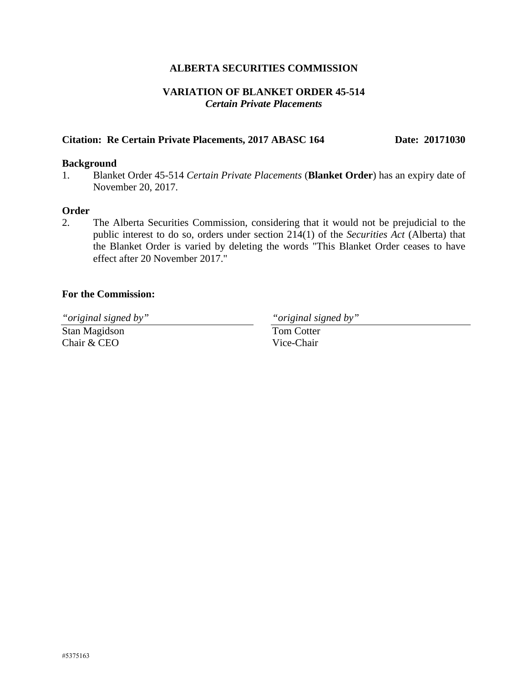# **ALBERTA SECURITIES COMMISSION**

# **VARIATION OF BLANKET ORDER 45-514**  *Certain Private Placements*

## Citation: Re Certain Private Placements, 2017 ABASC 164 Date: 20171030

#### **Background**

1. Blanket Order 45-514 *Certain Private Placements* (**Blanket Order**) has an expiry date of November 20, 2017.

#### **Order**

2. The Alberta Securities Commission, considering that it would not be prejudicial to the public interest to do so, orders under section 214(1) of the *Securities Act* (Alberta) that the Blanket Order is varied by deleting the words "This Blanket Order ceases to have effect after 20 November 2017."

#### **For the Commission:**

*"original signed by" "original signed by"*

Stan Magidson Chair & CEO

Tom Cotter Vice-Chair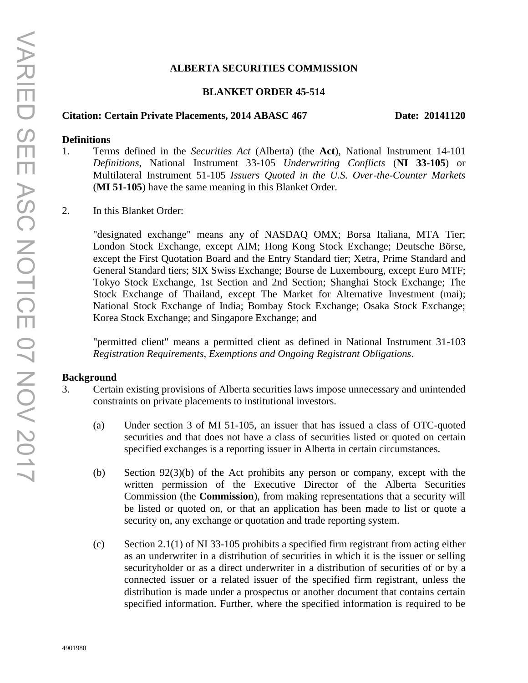## **ALBERTA SECURITIES COMMISSION**

## **BLANKET ORDER 45-514**

## Citation: Certain Private Placements, 2014 ABASC 467 Date: 20141120

## **Definitions**

- 1. Terms defined in the *Securities Act* (Alberta) (the **Act**), National Instrument 14-101 *Definitions*, National Instrument 33-105 *Underwriting Conflicts* (**NI 33-105**) or Multilateral Instrument 51-105 *Issuers Quoted in the U.S. Over-the-Counter Markets* (**MI 51-105**) have the same meaning in this Blanket Order.
- 2. In this Blanket Order:

"designated exchange" means any of NASDAQ OMX; Borsa Italiana, MTA Tier; London Stock Exchange, except AIM; Hong Kong Stock Exchange; Deutsche Börse, except the First Quotation Board and the Entry Standard tier; Xetra, Prime Standard and General Standard tiers; SIX Swiss Exchange; Bourse de Luxembourg, except Euro MTF; Tokyo Stock Exchange, 1st Section and 2nd Section; Shanghai Stock Exchange; The Stock Exchange of Thailand, except The Market for Alternative Investment (mai); National Stock Exchange of India; Bombay Stock Exchange; Osaka Stock Exchange; Korea Stock Exchange; and Singapore Exchange; and

"permitted client" means a permitted client as defined in National Instrument 31-103 *Registration Requirements, Exemptions and Ongoing Registrant Obligations*.

#### **Background**

- 3. Certain existing provisions of Alberta securities laws impose unnecessary and unintended constraints on private placements to institutional investors.
	- (a) Under section 3 of MI 51-105, an issuer that has issued a class of OTC-quoted securities and that does not have a class of securities listed or quoted on certain specified exchanges is a reporting issuer in Alberta in certain circumstances.
	- (b) Section 92(3)(b) of the Act prohibits any person or company, except with the written permission of the Executive Director of the Alberta Securities Commission (the **Commission**), from making representations that a security will be listed or quoted on, or that an application has been made to list or quote a security on, any exchange or quotation and trade reporting system.
	- (c) Section 2.1(1) of NI 33-105 prohibits a specified firm registrant from acting either as an underwriter in a distribution of securities in which it is the issuer or selling securityholder or as a direct underwriter in a distribution of securities of or by a connected issuer or a related issuer of the specified firm registrant, unless the distribution is made under a prospectus or another document that contains certain specified information. Further, where the specified information is required to be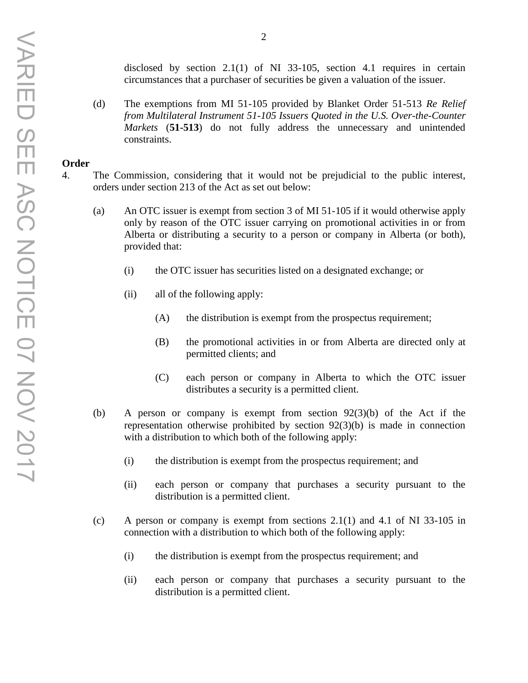disclosed by section 2.1(1) of NI 33-105, section 4.1 requires in certain circumstances that a purchaser of securities be given a valuation of the issuer.

(d) The exemptions from MI 51-105 provided by Blanket Order 51-513 *Re Relief from Multilateral Instrument 51-105 Issuers Quoted in the U.S. Over-the-Counter Markets* (**51-513**) do not fully address the unnecessary and unintended constraints.

#### **Order**

- 4. The Commission, considering that it would not be prejudicial to the public interest, orders under section 213 of the Act as set out below:
	- (a) An OTC issuer is exempt from section 3 of MI 51-105 if it would otherwise apply only by reason of the OTC issuer carrying on promotional activities in or from Alberta or distributing a security to a person or company in Alberta (or both), provided that:
		- (i) the OTC issuer has securities listed on a designated exchange; or
		- (ii) all of the following apply:
			- (A) the distribution is exempt from the prospectus requirement;
			- (B) the promotional activities in or from Alberta are directed only at permitted clients; and
			- (C) each person or company in Alberta to which the OTC issuer distributes a security is a permitted client.
	- (b) A person or company is exempt from section 92(3)(b) of the Act if the representation otherwise prohibited by section 92(3)(b) is made in connection with a distribution to which both of the following apply:
		- (i) the distribution is exempt from the prospectus requirement; and
		- (ii) each person or company that purchases a security pursuant to the distribution is a permitted client.
	- (c) A person or company is exempt from sections 2.1(1) and 4.1 of NI 33-105 in connection with a distribution to which both of the following apply:
		- (i) the distribution is exempt from the prospectus requirement; and
		- (ii) each person or company that purchases a security pursuant to the distribution is a permitted client.